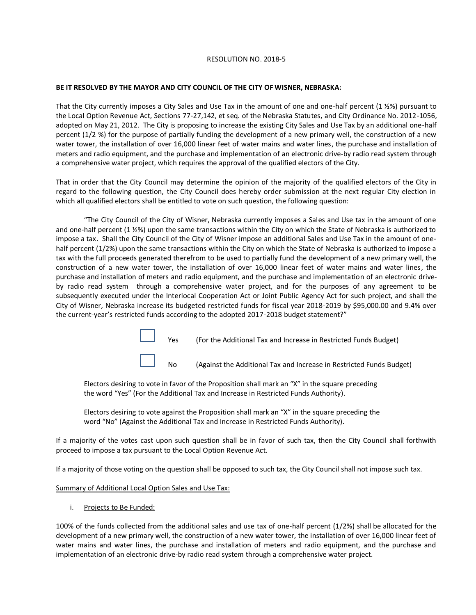## RESOLUTION NO. 2018-5

## **BE IT RESOLVED BY THE MAYOR AND CITY COUNCIL OF THE CITY OF WISNER, NEBRASKA:**

That the City currently imposes a City Sales and Use Tax in the amount of one and one-half percent (1 ½%) pursuant to the Local Option Revenue Act, Sections 77-27,142, et seq. of the Nebraska Statutes, and City Ordinance No. 2012-1056, adopted on May 21, 2012. The City is proposing to increase the existing City Sales and Use Tax by an additional one-half percent (1/2 %) for the purpose of partially funding the development of a new primary well, the construction of a new water tower, the installation of over 16,000 linear feet of water mains and water lines, the purchase and installation of meters and radio equipment, and the purchase and implementation of an electronic drive-by radio read system through a comprehensive water project, which requires the approval of the qualified electors of the City.

That in order that the City Council may determine the opinion of the majority of the qualified electors of the City in regard to the following question, the City Council does hereby order submission at the next regular City election in which all qualified electors shall be entitled to vote on such question, the following question:

"The City Council of the City of Wisner, Nebraska currently imposes a Sales and Use tax in the amount of one and one-half percent (1 ½%) upon the same transactions within the City on which the State of Nebraska is authorized to impose a tax. Shall the City Council of the City of Wisner impose an additional Sales and Use Tax in the amount of onehalf percent (1/2%) upon the same transactions within the City on which the State of Nebraska is authorized to impose a tax with the full proceeds generated therefrom to be used to partially fund the development of a new primary well, the construction of a new water tower, the installation of over 16,000 linear feet of water mains and water lines, the purchase and installation of meters and radio equipment, and the purchase and implementation of an electronic driveby radio read system through a comprehensive water project, and for the purposes of any agreement to be subsequently executed under the Interlocal Cooperation Act or Joint Public Agency Act for such project, and shall the City of Wisner, Nebraska increase its budgeted restricted funds for fiscal year 2018-2019 by \$95,000.00 and 9.4% over the current-year's restricted funds according to the adopted 2017-2018 budget statement?"

Yes (For the Additional Tax and Increase in Restricted Funds Budget)

No (Against the Additional Tax and Increase in Restricted Funds Budget)

Electors desiring to vote in favor of the Proposition shall mark an "X" in the square preceding the word "Yes" (For the Additional Tax and Increase in Restricted Funds Authority).

Electors desiring to vote against the Proposition shall mark an "X" in the square preceding the word "No" (Against the Additional Tax and Increase in Restricted Funds Authority).

If a majority of the votes cast upon such question shall be in favor of such tax, then the City Council shall forthwith proceed to impose a tax pursuant to the Local Option Revenue Act.

If a majority of those voting on the question shall be opposed to such tax, the City Council shall not impose such tax.

Summary of Additional Local Option Sales and Use Tax:

i. Projects to Be Funded:

100% of the funds collected from the additional sales and use tax of one-half percent (1/2%) shall be allocated for the development of a new primary well, the construction of a new water tower, the installation of over 16,000 linear feet of water mains and water lines, the purchase and installation of meters and radio equipment, and the purchase and implementation of an electronic drive-by radio read system through a comprehensive water project.